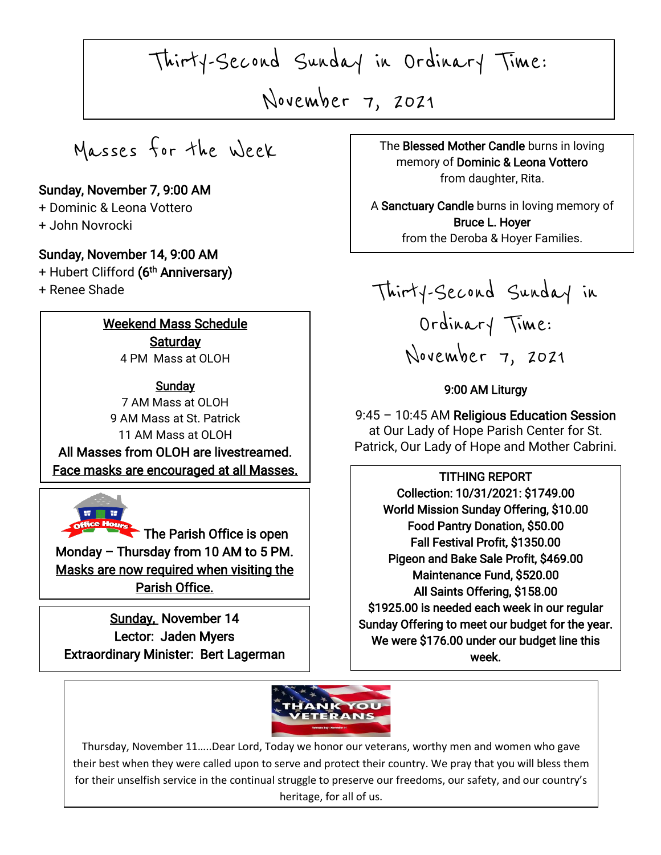Thirty-Second Sunday in Ordinary Time:

November 7, 2021

Masses for the Week

# Sunday, November 7, 9:00 AM

+ Dominic & Leona Vottero + John Novrocki

#### Sunday, November 14, 9:00 AM

+ Hubert Clifford (6<sup>th</sup> Anniversary)

+ Renee Shade

I

I

Weekend Mass Schedule **Saturday** 4 PM Mass at OLOH

**Sunday** 7 AM Mass at OLOH 9 AM Mass at St. Patrick 11 AM Mass at OLOH

The Face masks are encouraged at all Masses. All Masses from OLOH are livestreamed.



 $\blacksquare$  The Parish Office is open Monday – Thursday from 10 AM to 5 PM. Masks are now required when visiting the Parish Office.

 Extraordinary Minister: Bert Lagerman Sunday, November 14 Lector: Jaden Myers

I

I

, 2021 The Blessed Mother Candle burns in loving memory of Dominic & Leona Vottero from daughter, Rita.

> A Sanctuary Candle burns in loving memory of Bruce L. Hoyer from the Deroba & Hoyer Families.

Thirty-Second Sunday in Ordinary Time: November 7, 2021

## 9:00 AM Liturgy

9:45 – 10:45 AM Religious Education Session at Our Lady of Hope Parish Center for St. Patrick, Our Lady of Hope and Mother Cabrini.

TITHING REPORT Collection: 10/31/2021: \$1749.00 World Mission Sunday Offering, \$10.00 Food Pantry Donation, \$50.00 Fall Festival Profit, \$1350.00 Pigeon and Bake Sale Profit, \$469.00 Maintenance Fund, \$520.00 All Saints Offering, \$158.00 \$1925.00 is needed each week in our regular Sunday Offering to meet our budget for the year. We were \$176.00 under our budget line this week.



 $\overline{\phantom{a}}$ 

 for their unselfish service in the continual struggle to preserve our freedoms, our safety, and our country's  $\overline{\phantom{0}}$  Thursday, November 11…..Dear Lord, Today we honor our veterans, worthy men and women who gave their best when they were called upon to serve and protect their country. We pray that you will bless them heritage, for all of us.